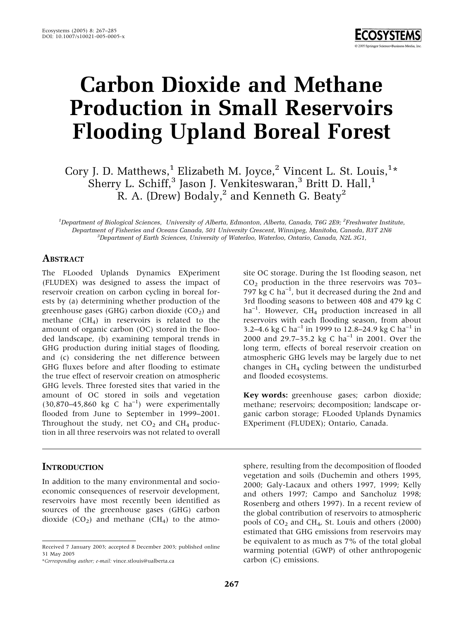

# Carbon Dioxide and Methane Production in Small Reservoirs Flooding Upland Boreal Forest

Cory J. D. Matthews, $^1$  Elizabeth M. Joyce, $^2$  Vincent L. St. Louis, $^{1*}$ Sherry L. Schiff,<sup>3</sup> Jason J. Venkiteswaran,<sup>3</sup> Britt D. Hall,<sup>1</sup> R. A. (Drew) Bodaly,<sup>2</sup> and Kenneth G. Beaty<sup>2</sup>

<sup>1</sup>Department of Biological Sciences, University of Alberta, Edmonton, Alberta, Canada, T6G 2E9; <sup>2</sup>Freshwater Institute, Department of Fisheries and Oceans Canada, 501 University Crescent, Winnipeg, Manitoba, Canada, R3T 2N6  ${}^{3}$ Department of Earth Sciences, University of Waterloo, Waterloo, Ontario, Canada, N2L 3G1,

#### **ABSTRACT**

The FLooded Uplands Dynamics EXperiment (FLUDEX) was designed to assess the impact of reservoir creation on carbon cycling in boreal forests by (a) determining whether production of the greenhouse gases (GHG) carbon dioxide ( $CO<sub>2</sub>$ ) and methane  $(CH<sub>4</sub>)$  in reservoirs is related to the amount of organic carbon (OC) stored in the flooded landscape, (b) examining temporal trends in GHG production during initial stages of flooding, and (c) considering the net difference between GHG fluxes before and after flooding to estimate the true effect of reservoir creation on atmospheric GHG levels. Three forested sites that varied in the amount of OC stored in soils and vegetation  $(30,870-45,860 \text{ kg C ha}^{-1})$  were experimentally flooded from June to September in 1999–2001. Throughout the study, net  $CO<sub>2</sub>$  and  $CH<sub>4</sub>$  production in all three reservoirs was not related to overall

#### **INTRODUCTION**

In addition to the many environmental and socioeconomic consequences of reservoir development, reservoirs have most recently been identified as sources of the greenhouse gases (GHG) carbon dioxide  $(CO_2)$  and methane  $(CH_4)$  to the atmo-

\*Corresponding author; e-mail: vince.stlouis@ualberta.ca

site OC storage. During the 1st flooding season, net  $CO<sub>2</sub>$  production in the three reservoirs was 703– 797 kg C  $ha^{-1}$ , but it decreased during the 2nd and 3rd flooding seasons to between 408 and 479 kg C  $ha^{-1}$ . However, CH<sub>4</sub> production increased in all reservoirs with each flooding season, from about 3.2–4.6 kg C ha<sup>-1</sup> in 1999 to 12.8–24.9 kg C ha<sup>-1</sup> in 2000 and 29.7-35.2 kg C ha<sup>-1</sup> in 2001. Over the long term, effects of boreal reservoir creation on atmospheric GHG levels may be largely due to net changes in  $CH<sub>4</sub>$  cycling between the undisturbed and flooded ecosystems.

Key words: greenhouse gases; carbon dioxide; methane; reservoirs; decomposition; landscape organic carbon storage; FLooded Uplands Dynamics EXperiment (FLUDEX); Ontario, Canada.

sphere, resulting from the decomposition of flooded vegetation and soils (Duchemin and others 1995, 2000; Galy-Lacaux and others 1997, 1999; Kelly and others 1997; Campo and Sancholuz 1998; Rosenberg and others 1997). In a recent review of the global contribution of reservoirs to atmospheric pools of  $CO<sub>2</sub>$  and  $CH<sub>4</sub>$ , St. Louis and others (2000) estimated that GHG emissions from reservoirs may be equivalent to as much as 7% of the total global warming potential (GWP) of other anthropogenic carbon (C) emissions.

Received 7 January 2003; accepted 8 December 2003; published online 31 May 2005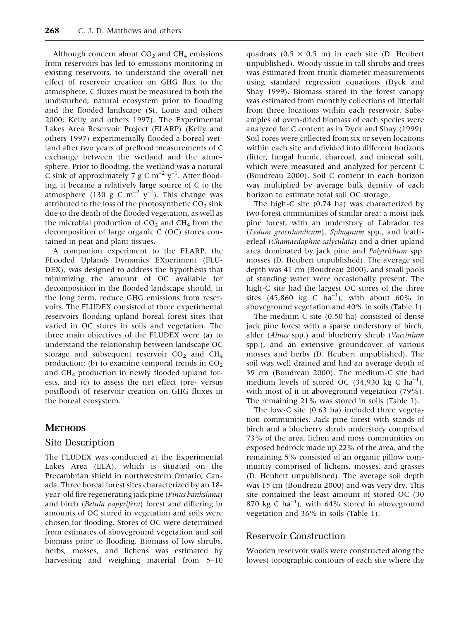Although concern about  $CO<sub>2</sub>$  and  $CH<sub>4</sub>$  emissions from reservoirs has led to emissions monitoring in existing reservoirs, to understand the overall net effect of reservoir creation on GHG flux to the atmosphere, C fluxes must be measured in both the undisturbed, natural ecosystem prior to flooding and the flooded landscape (St. Louis and others 2000; Kelly and others 1997). The Experimental Lakes Area Reservoir Project (ELARP) (Kelly and others 1997) experimentally flooded a boreal wetland after two years of preflood measurements of C exchange between the wetland and the atmosphere. Prior to flooding, the wetland was a natural C sink of approximately 7 g C  $\text{m}^{-2}$  y<sup>-1</sup>. After flooding, it became a relatively large source of C to the atmosphere (130 g C m<sup>-2</sup> y<sup>-1</sup>). This change was attributed to the loss of the photosynthetic  $CO<sub>2</sub>$  sink due to the death of the flooded vegetation, as well as the microbial production of  $CO<sub>2</sub>$  and  $CH<sub>4</sub>$  from the decomposition of large organic C (OC) stores contained in peat and plant tissues.

A companion experiment to the ELARP, the FLooded Uplands Dynamics EXperiment (FLU-DEX), was designed to address the hypothesis that minimizing the amount of OC available for decomposition in the flooded landscape should, in the long term, reduce GHG emissions from reservoirs. The FLUDEX consisted of three experimental reservoirs flooding upland boreal forest sites that varied in OC stores in soils and vegetation. The three main objectives of the FLUDEX were (a) to understand the relationship between landscape OC storage and subsequent reservoir  $CO<sub>2</sub>$  and  $CH<sub>4</sub>$ production; (b) to examine temporal trends in  $CO<sub>2</sub>$ and  $CH_4$  production in newly flooded upland forests, and (c) to assess the net effect (pre- versus postflood) of reservoir creation on GHG fluxes in the boreal ecosystem.

#### **METHODS**

#### Site Description

The FLUDEX was conducted at the Experimental Lakes Area (ELA), which is situated on the Precambrian shield in northwestern Ontario, Canada. Three boreal forest sites characterized by an 18 year-old fire regenerating jack pine (Pinus banksiana) and birch (Betula papyrifera) forest and differing in amounts of OC stored in vegetation and soils were chosen for flooding. Stores of OC were determined from estimates of aboveground vegetation and soil biomass prior to flooding. Biomass of low shrubs, herbs, mosses, and lichens was estimated by harvesting and weighing material from 5–10 quadrats (0.5  $\times$  0.5 m) in each site (D. Heubert unpublished). Woody tissue in tall shrubs and trees was estimated from trunk diameter measurements using standard regression equations (Dyck and Shay 1999). Biomass stored in the forest canopy was estimated from monthly collections of litterfall from three locations within each reservoir. Subsamples of oven-dried biomass of each species were analyzed for C content as in Dyck and Shay (1999). Soil cores were collected from six or seven locations within each site and divided into different horizons (litter, fungal humic, charcoal, and mineral soil), which were measured and analyzed for percent C (Boudreau 2000). Soil C content in each horizon was multiplied by average bulk density of each horizon to estimate total soil OC storage.

The high-C site (0.74 ha) was characterized by two forest communities of similar area: a moist jack pine forest, with an understory of Labrador tea (Ledum groenlandicum), Sphagnum spp., and leatherleaf (Chamaedaphne calyculata) and a drier upland area dominated by jack pine and Polytrichum spp. mosses (D. Heubert unpublished). The average soil depth was 41 cm (Boudreau 2000), and small pools of standing water were occasionally present. The high-C site had the largest OC stores of the three sites (45,860 kg C  $ha^{-1}$ ), with about 60% in aboveground vegetation and 40% in soils (Table 1).

The medium-C site (0.50 ha) consisted of dense jack pine forest with a sparse understory of birch, alder (Alnus spp.) and blueberry shrub (Vaccinium spp.), and an extensive groundcover of various mosses and herbs (D. Heubert unpublished). The soil was well drained and had an average depth of 39 cm (Boudreau 2000). The medium-C site had medium levels of stored OC (34,930 kg C  $ha^{-1}$ ), with most of it in aboveground vegetation (79%). The remaining 21% was stored in soils (Table 1).

The low-C site (0.63 ha) included three vegetation communities. Jack pine forest with stands of birch and a blueberry shrub understory comprised 73% of the area, lichen and moss communities on exposed bedrock made up 22% of the area, and the remaining 5% consisted of an organic pillow community comprised of lichens, mosses, and grasses (D. Heubert unpublished). The average soil depth was 15 cm (Boudreau 2000) and was very dry. This site contained the least amount of stored OC (30 870 kg C  $ha^{-1}$ ), with 64% stored in aboveground vegetation and 36% in soils (Table 1).

#### Reservoir Construction

Wooden reservoir walls were constructed along the lowest topographic contours of each site where the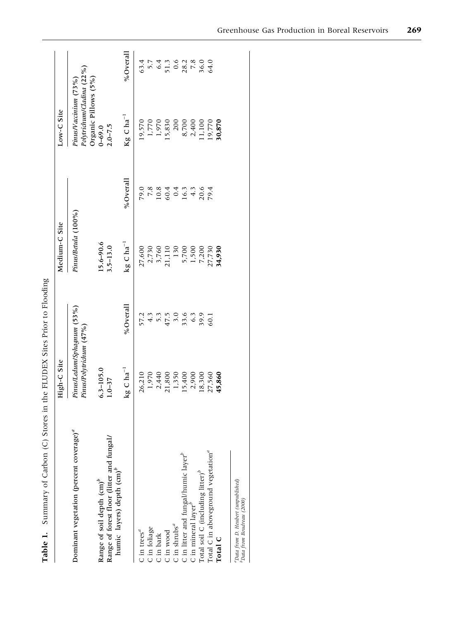|                                                                                | High-C Site                                                                                                     |                                               | Medium-C Site                                        |                            | Low-C Site                                         |                                                                   |
|--------------------------------------------------------------------------------|-----------------------------------------------------------------------------------------------------------------|-----------------------------------------------|------------------------------------------------------|----------------------------|----------------------------------------------------|-------------------------------------------------------------------|
| Dominant vegetation (percent coverage) <sup>a</sup>                            | Pinus/Ledum/Sphagnum (53%)<br>Pinus/Polytrichum (47%)                                                           |                                               | Pinus/Betula (100%)                                  |                            | Polytrichum/Cladina (22%)<br>Pinus/Vaccinium (73%) |                                                                   |
| Range of forest floor (litter and fungal/<br>Range of soil depth $\text{cm}^p$ | $6.3 - 105.0$<br>$1.0 - 37$                                                                                     |                                               | $15.6 - 90.6$<br>$3.5 - 13.0$                        |                            | Organic Pillows (5%)<br>$2.0 - 7.5$<br>$0 - 69.0$  |                                                                   |
| humic layers) depth (cm) <sup>b</sup>                                          | $kg \text{ C ha}^{-1}$                                                                                          | % $Overall$                                   | $kg C ha^{-1}$                                       | %Overall                   | $\mathrm{Kg} \subset \mathrm{ha}^{-1}$             | %Overall                                                          |
| C in trees $\mathbf{C}$                                                        | 26,210                                                                                                          |                                               | 27,600                                               | 79.0                       | 19,570                                             |                                                                   |
| C in foliage                                                                   |                                                                                                                 |                                               |                                                      |                            |                                                    |                                                                   |
| C in bark                                                                      |                                                                                                                 |                                               |                                                      |                            | 1,770<br>1,970                                     |                                                                   |
| C in wood                                                                      | $\begin{array}{r} 1,970 \\ 2,440 \\ 21,800 \\ 1,350 \\ 15,400 \\ 2,900 \\ 2,900 \\ 2,900 \\ 18,300 \end{array}$ | 7<br>2 4 5 7 8 7 9 9 9 9<br>2 4 5 7 9 9 9 9 9 | 2,730<br>3,760<br>21,110                             | 23<br>23445054<br>23445051 | 15,830                                             | $63.7$<br>$5.7$<br>$63.7$<br>$64.7$<br>$64.7$<br>$64.7$<br>$64.6$ |
| C in shrubs $^a$                                                               |                                                                                                                 |                                               |                                                      |                            | 200                                                |                                                                   |
| C in litter and fungal/humic layer $^b$                                        |                                                                                                                 |                                               | $\begin{array}{c} 130 \\ 5,700 \\ 1,500 \end{array}$ |                            |                                                    |                                                                   |
| C in mineral layer <sup>b</sup>                                                |                                                                                                                 |                                               |                                                      |                            |                                                    |                                                                   |
| Total soil C (including litter) $^b$                                           |                                                                                                                 |                                               | 7,200                                                |                            | 8,700<br>2,400<br>11,100                           |                                                                   |
| Total C in aboveground vegetation <sup>a</sup>                                 | 27,560                                                                                                          |                                               | 27,730                                               |                            | 19,770                                             |                                                                   |
| Total C                                                                        | 45,860                                                                                                          |                                               | 34,930                                               |                            | 30,870                                             |                                                                   |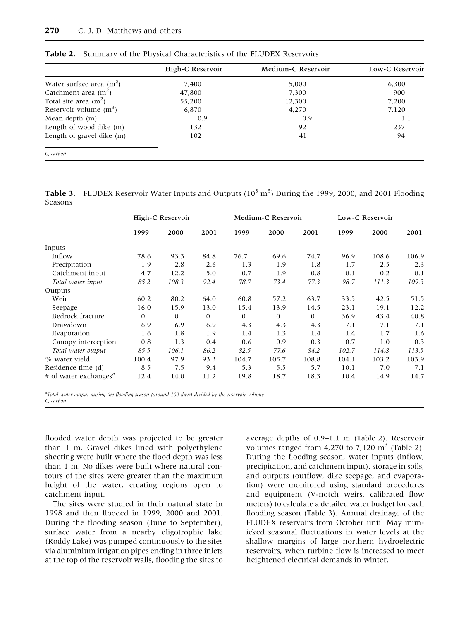|                            | High-C Reservoir | Medium-C Reservoir | Low-C Reservoir |
|----------------------------|------------------|--------------------|-----------------|
| Water surface area $(m^2)$ | 7,400            | 5,000              | 6,300           |
| Catchment area $(m^2)$     | 47,800           | 7,300              | 900             |
| Total site area $(m2)$     | 55,200           | 12,300             | 7,200           |
| Reservoir volume $(m^3)$   | 6,870            | 4,270              | 7,120           |
| Mean depth $(m)$           | 0.9              | 0.9                | 1.1             |
| Length of wood dike (m)    | 132              | 92                 | 237             |
| Length of gravel dike (m)  | 102              | 41                 | 94              |
| C carbon                   |                  |                    |                 |

Table 2. Summary of the Physical Characteristics of the FLUDEX Reservoirs

**Table 3.** FLUDEX Reservoir Water Inputs and Outputs  $(10^3 \text{ m}^3)$  During the 1999, 2000, and 2001 Flooding Seasons

|                                                |              | High-C Reservoir |              |              | Medium-C Reservoir |              |       | Low-C Reservoir |       |
|------------------------------------------------|--------------|------------------|--------------|--------------|--------------------|--------------|-------|-----------------|-------|
|                                                | 1999         | 2000             | 2001         | 1999         | 2000               | 2001         | 1999  | 2000            | 2001  |
| Inputs                                         |              |                  |              |              |                    |              |       |                 |       |
| Inflow                                         | 78.6         | 93.3             | 84.8         | 76.7         | 69.6               | 74.7         | 96.9  | 108.6           | 106.9 |
| Precipitation                                  | 1.9          | 2.8              | 2.6          | 1.3          | 1.9                | 1.8          | 1.7   | 2.5             | 2.3   |
| Catchment input                                | 4.7          | 12.2             | 5.0          | 0.7          | 1.9                | 0.8          | 0.1   | 0.2             | 0.1   |
| Total water input                              | 85.2         | 108.3            | 92.4         | 78.7         | 73.4               | 77.3         | 98.7  | 111.3           | 109.3 |
| Outputs                                        |              |                  |              |              |                    |              |       |                 |       |
| Weir                                           | 60.2         | 80.2             | 64.0         | 60.8         | 57.2               | 63.7         | 33.5  | 42.5            | 51.5  |
| Seepage                                        | 16.0         | 15.9             | 13.0         | 15.4         | 13.9               | 14.5         | 23.1  | 19.1            | 12.2  |
| Bedrock fracture                               | $\mathbf{0}$ | $\mathbf{0}$     | $\mathbf{0}$ | $\mathbf{0}$ | $\mathbf{0}$       | $\mathbf{0}$ | 36.9  | 43.4            | 40.8  |
| Drawdown                                       | 6.9          | 6.9              | 6.9          | 4.3          | 4.3                | 4.3          | 7.1   | 7.1             | 7.1   |
| Evaporation                                    | 1.6          | 1.8              | 1.9          | 1.4          | 1.3                | 1.4          | 1.4   | 1.7             | 1.6   |
| Canopy interception                            | 0.8          | 1.3              | 0.4          | 0.6          | 0.9                | 0.3          | 0.7   | 1.0             | 0.3   |
| Total water output                             | 85.5         | 106.1            | 86.2         | 82.5         | 77.6               | 84.2         | 102.7 | 114.8           | 113.5 |
| % water yield                                  | 100.4        | 97.9             | 93.3         | 104.7        | 105.7              | 108.8        | 104.1 | 103.2           | 103.9 |
| Residence time (d)                             | 8.5          | 7.5              | 9.4          | 5.3          | 5.5                | 5.7          | 10.1  | 7.0             | 7.1   |
| # of water exchanges <sup><math>a</math></sup> | 12.4         | 14.0             | 11.2         | 19.8         | 18.7               | 18.3         | 10.4  | 14.9            | 14.7  |

<sup>a</sup>Total water output during the flooding season (around 100 days) divided by the reservoir volume C, carbon

flooded water depth was projected to be greater than 1 m. Gravel dikes lined with polyethylene sheeting were built where the flood depth was less than 1 m. No dikes were built where natural contours of the sites were greater than the maximum height of the water, creating regions open to catchment input.

The sites were studied in their natural state in 1998 and then flooded in 1999, 2000 and 2001. During the flooding season (June to September), surface water from a nearby oligotrophic lake (Roddy Lake) was pumped continuously to the sites via aluminium irrigation pipes ending in three inlets at the top of the reservoir walls, flooding the sites to

average depths of 0.9–1.1 m (Table 2). Reservoir volumes ranged from  $4,270$  to  $7,120 \text{ m}^3$  (Table 2). During the flooding season, water inputs (inflow, precipitation, and catchment input), storage in soils, and outputs (outflow, dike seepage, and evaporation) were monitored using standard procedures and equipment (V-notch weirs, calibrated flow meters) to calculate a detailed water budget for each flooding season (Table 3). Annual drainage of the FLUDEX reservoirs from October until May mimicked seasonal fluctuations in water levels at the shallow margins of large northern hydroelectric reservoirs, when turbine flow is increased to meet heightened electrical demands in winter.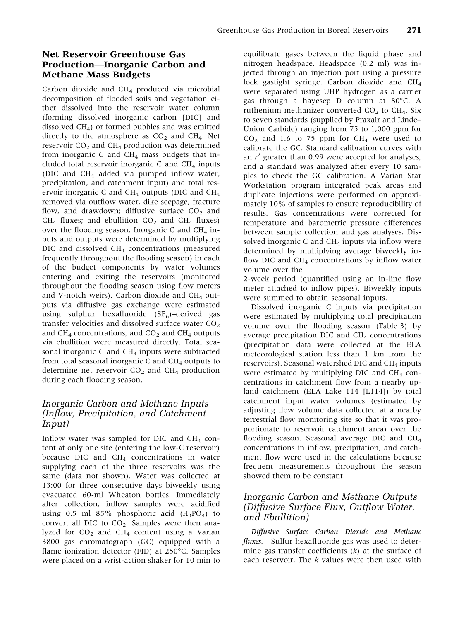## Net Reservoir Greenhouse Gas Production—Inorganic Carbon and Methane Mass Budgets

Carbon dioxide and  $CH<sub>4</sub>$  produced via microbial decomposition of flooded soils and vegetation either dissolved into the reservoir water column (forming dissolved inorganic carbon [DIC] and dissolved  $CH<sub>4</sub>$ ) or formed bubbles and was emitted directly to the atmosphere as  $CO<sub>2</sub>$  and  $CH<sub>4</sub>$ . Net reservoir  $CO<sub>2</sub>$  and  $CH<sub>4</sub>$  production was determined from inorganic C and  $CH<sub>4</sub>$  mass budgets that included total reservoir inorganic  $C$  and  $CH<sub>4</sub>$  inputs (DIC and  $CH<sub>4</sub>$  added via pumped inflow water, precipitation, and catchment input) and total reservoir inorganic C and  $CH_4$  outputs (DIC and  $CH_4$ removed via outflow water, dike seepage, fracture flow, and drawdown; diffusive surface  $CO<sub>2</sub>$  and  $CH<sub>4</sub>$  fluxes; and ebullition  $CO<sub>2</sub>$  and  $CH<sub>4</sub>$  fluxes) over the flooding season. Inorganic C and  $CH<sub>4</sub>$  inputs and outputs were determined by multiplying DIC and dissolved CH<sub>4</sub> concentrations (measured frequently throughout the flooding season) in each of the budget components by water volumes entering and exiting the reservoirs (monitored throughout the flooding season using flow meters and V-notch weirs). Carbon dioxide and  $CH_4$  outputs via diffusive gas exchange were estimated using sulphur hexafluoride  $(SF_6)$ -derived gas transfer velocities and dissolved surface water  $CO<sub>2</sub>$ and CH<sub>4</sub> concentrations, and  $CO<sub>2</sub>$  and CH<sub>4</sub> outputs via ebullition were measured directly. Total seasonal inorganic C and  $CH<sub>4</sub>$  inputs were subtracted from total seasonal inorganic C and  $CH<sub>4</sub>$  outputs to determine net reservoir  $CO<sub>2</sub>$  and  $CH<sub>4</sub>$  production during each flooding season.

# Inorganic Carbon and Methane Inputs (Inflow, Precipitation, and Catchment Input)

Inflow water was sampled for DIC and  $CH<sub>4</sub>$  content at only one site (entering the low-C reservoir) because DIC and  $CH<sub>4</sub>$  concentrations in water supplying each of the three reservoirs was the same (data not shown). Water was collected at 13:00 for three consecutive days biweekly using evacuated 60-ml Wheaton bottles. Immediately after collection, inflow samples were acidified using 0.5 ml 85% phosphoric acid  $(H_3PO_4)$  to convert all DIC to  $CO<sub>2</sub>$ . Samples were then analyzed for  $CO<sub>2</sub>$  and  $CH<sub>4</sub>$  content using a Varian 3800 gas chromatograph (GC) equipped with a flame ionization detector (FID) at 250°C. Samples were placed on a wrist-action shaker for 10 min to

equilibrate gases between the liquid phase and nitrogen headspace. Headspace (0.2 ml) was injected through an injection port using a pressure lock gastight syringe. Carbon dioxide and CH4 were separated using UHP hydrogen as a carrier gas through a hayesep D column at 80°C. A ruthenium methanizer converted  $CO<sub>2</sub>$  to  $CH<sub>4</sub>$ . Six to seven standards (supplied by Praxair and Linde– Union Carbide) ranging from 75 to 1,000 ppm for  $CO<sub>2</sub>$  and 1.6 to 75 ppm for  $CH<sub>4</sub>$  were used to calibrate the GC. Standard calibration curves with an  $r^2$  greater than 0.99 were accepted for analyses, and a standard was analyzed after every 10 samples to check the GC calibration. A Varian Star Workstation program integrated peak areas and duplicate injections were performed on approximately 10% of samples to ensure reproducibility of results. Gas concentrations were corrected for temperature and barometric pressure differences between sample collection and gas analyses. Dissolved inorganic C and  $CH<sub>4</sub>$  inputs via inflow were determined by multiplying average biweekly inflow DIC and  $CH<sub>4</sub>$  concentrations by inflow water volume over the

2-week period (quantified using an in-line flow meter attached to inflow pipes). Biweekly inputs were summed to obtain seasonal inputs.

Dissolved inorganic C inputs via precipitation were estimated by multiplying total precipitation volume over the flooding season (Table 3) by average precipitation DIC and  $CH<sub>4</sub>$  concentrations (precipitation data were collected at the ELA meteorological station less than 1 km from the reservoirs). Seasonal watershed DIC and  $CH<sub>4</sub>$  inputs were estimated by multiplying DIC and  $CH<sub>4</sub>$  concentrations in catchment flow from a nearby upland catchment (ELA Lake 114 [L114]) by total catchment input water volumes (estimated by adjusting flow volume data collected at a nearby terrestrial flow monitoring site so that it was proportionate to reservoir catchment area) over the flooding season. Seasonal average DIC and CH4 concentrations in inflow, precipitation, and catchment flow were used in the calculations because frequent measurements throughout the season showed them to be constant.

# Inorganic Carbon and Methane Outputs (Diffusive Surface Flux, Outflow Water, and Ebullition)

Diffusive Surface Carbon Dioxide and Methane *fluxes*. Sulfur hexafluoride gas was used to determine gas transfer coefficients  $(k)$  at the surface of each reservoir. The  $k$  values were then used with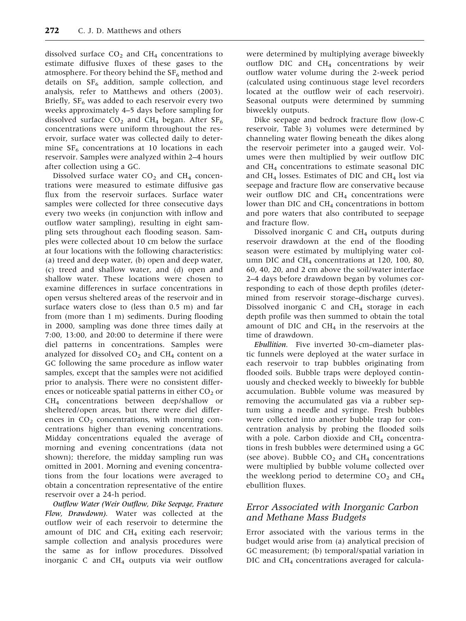dissolved surface  $CO<sub>2</sub>$  and  $CH<sub>4</sub>$  concentrations to estimate diffusive fluxes of these gases to the atmosphere. For theory behind the  $SF_6$  method and details on  $SF_6$  addition, sample collection, and analysis, refer to Matthews and others (2003). Briefly,  $SF<sub>6</sub>$  was added to each reservoir every two weeks approximately 4–5 days before sampling for dissolved surface  $CO<sub>2</sub>$  and CH<sub>4</sub> began. After SF<sub>6</sub> concentrations were uniform throughout the reservoir, surface water was collected daily to determine  $SF_6$  concentrations at 10 locations in each reservoir. Samples were analyzed within 2–4 hours after collection using a GC.

Dissolved surface water  $CO<sub>2</sub>$  and  $CH<sub>4</sub>$  concentrations were measured to estimate diffusive gas flux from the reservoir surfaces. Surface water samples were collected for three consecutive days every two weeks (in conjunction with inflow and outflow water sampling), resulting in eight sampling sets throughout each flooding season. Samples were collected about 10 cm below the surface at four locations with the following characteristics: (a) treed and deep water, (b) open and deep water, (c) treed and shallow water, and (d) open and shallow water. These locations were chosen to examine differences in surface concentrations in open versus sheltered areas of the reservoir and in surface waters close to (less than 0.5 m) and far from (more than 1 m) sediments. During flooding in 2000, sampling was done three times daily at 7:00, 13:00, and 20:00 to determine if there were diel patterns in concentrations. Samples were analyzed for dissolved  $CO<sub>2</sub>$  and  $CH<sub>4</sub>$  content on a GC following the same procedure as inflow water samples, except that the samples were not acidified prior to analysis. There were no consistent differences or noticeable spatial patterns in either  $CO<sub>2</sub>$  or CH4 concentrations between deep/shallow or sheltered/open areas, but there were diel differences in  $CO<sub>2</sub>$  concentrations, with morning concentrations higher than evening concentrations. Midday concentrations equaled the average of morning and evening concentrations (data not shown); therefore, the midday sampling run was omitted in 2001. Morning and evening concentrations from the four locations were averaged to obtain a concentration representative of the entire reservoir over a 24-h period.

Outflow Water (Weir Outflow, Dike Seepage, Fracture Flow, Drawdown). Water was collected at the outflow weir of each reservoir to determine the amount of DIC and  $CH<sub>4</sub>$  exiting each reservoir; sample collection and analysis procedures were the same as for inflow procedures. Dissolved inorganic C and  $CH<sub>4</sub>$  outputs via weir outflow were determined by multiplying average biweekly outflow DIC and  $CH<sub>4</sub>$  concentrations by weir outflow water volume during the 2-week period (calculated using continuous stage level recorders located at the outflow weir of each reservoir). Seasonal outputs were determined by summing biweekly outputs.

Dike seepage and bedrock fracture flow (low-C reservoir, Table 3) volumes were determined by channeling water flowing beneath the dikes along the reservoir perimeter into a gauged weir. Volumes were then multiplied by weir outflow DIC and CH4 concentrations to estimate seasonal DIC and CH<sub>4</sub> losses. Estimates of DIC and CH<sub>4</sub> lost via seepage and fracture flow are conservative because weir outflow DIC and  $CH<sub>4</sub>$  concentrations were lower than DIC and  $CH<sub>4</sub>$  concentrations in bottom and pore waters that also contributed to seepage and fracture flow.

Dissolved inorganic C and CH4 outputs during reservoir drawdown at the end of the flooding season were estimated by multiplying water column DIC and CH<sub>4</sub> concentrations at 120, 100, 80, 60, 40, 20, and 2 cm above the soil/water interface 2–4 days before drawdown began by volumes corresponding to each of those depth profiles (determined from reservoir storage–discharge curves). Dissolved inorganic C and CH<sub>4</sub> storage in each depth profile was then summed to obtain the total amount of DIC and  $CH<sub>4</sub>$  in the reservoirs at the time of drawdown.

Ebullition. Five inverted 30-cm–diameter plastic funnels were deployed at the water surface in each reservoir to trap bubbles originating from flooded soils. Bubble traps were deployed continuously and checked weekly to biweekly for bubble accumulation. Bubble volume was measured by removing the accumulated gas via a rubber septum using a needle and syringe. Fresh bubbles were collected into another bubble trap for concentration analysis by probing the flooded soils with a pole. Carbon dioxide and  $CH<sub>4</sub>$  concentrations in fresh bubbles were determined using a GC (see above). Bubble  $CO<sub>2</sub>$  and  $CH<sub>4</sub>$  concentrations were multiplied by bubble volume collected over the weeklong period to determine  $CO<sub>2</sub>$  and  $CH<sub>4</sub>$ ebullition fluxes.

## Error Associated with Inorganic Carbon and Methane Mass Budgets

Error associated with the various terms in the budget would arise from (a) analytical precision of GC measurement; (b) temporal/spatial variation in DIC and CH<sub>4</sub> concentrations averaged for calcula-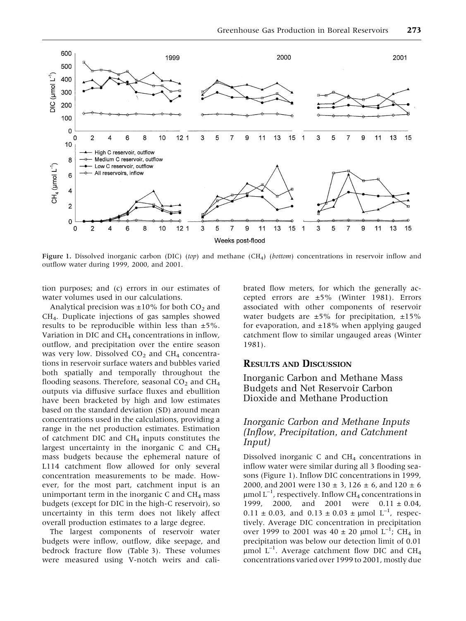

Figure 1. Dissolved inorganic carbon (DIC) (top) and methane (CH<sub>4</sub>) (bottom) concentrations in reservoir inflow and outflow water during 1999, 2000, and 2001.

tion purposes; and (c) errors in our estimates of water volumes used in our calculations.

Analytical precision was  $\pm 10\%$  for both CO<sub>2</sub> and CH4. Duplicate injections of gas samples showed results to be reproducible within less than ±5%. Variation in DIC and CH<sub>4</sub> concentrations in inflow, outflow, and precipitation over the entire season was very low. Dissolved  $CO<sub>2</sub>$  and  $CH<sub>4</sub>$  concentrations in reservoir surface waters and bubbles varied both spatially and temporally throughout the flooding seasons. Therefore, seasonal  $CO<sub>2</sub>$  and  $CH<sub>4</sub>$ outputs via diffusive surface fluxes and ebullition have been bracketed by high and low estimates based on the standard deviation (SD) around mean concentrations used in the calculations, providing a range in the net production estimates. Estimation of catchment DIC and  $CH<sub>4</sub>$  inputs constitutes the largest uncertainty in the inorganic C and CH4 mass budgets because the ephemeral nature of L114 catchment flow allowed for only several concentration measurements to be made. However, for the most part, catchment input is an unimportant term in the inorganic C and  $CH<sub>4</sub>$  mass budgets (except for DIC in the high-C reservoir), so uncertainty in this term does not likely affect overall production estimates to a large degree.

The largest components of reservoir water budgets were inflow, outflow, dike seepage, and bedrock fracture flow (Table 3). These volumes were measured using V-notch weirs and calibrated flow meters, for which the generally accepted errors are ±5% (Winter 1981). Errors associated with other components of reservoir water budgets are  $\pm 5\%$  for precipitation,  $\pm 15\%$ for evaporation, and  $\pm 18\%$  when applying gauged catchment flow to similar ungauged areas (Winter 1981).

## RESULTS AND DISCUSSION

Inorganic Carbon and Methane Mass Budgets and Net Reservoir Carbon Dioxide and Methane Production

## Inorganic Carbon and Methane Inputs (Inflow, Precipitation, and Catchment Input)

Dissolved inorganic C and  $CH<sub>4</sub>$  concentrations in inflow water were similar during all 3 flooding seasons (Figure 1). Inflow DIC concentrations in 1999, 2000, and 2001 were  $130 \pm 3$ ,  $126 \pm 6$ , and  $120 \pm 6$  $\mu$ mol L $^{-1}$ , respectively. Inflow CH $_4$  concentrations in 1999, 2000, and 2001 were  $0.11 \pm 0.04$ ,  $0.11 \pm 0.03$ , and  $0.13 \pm 0.03 \pm \mu$  mol L<sup>-1</sup>, respectively. Average DIC concentration in precipitation over 1999 to 2001 was  $40 \pm 20$  µmol L<sup>-1</sup>; CH<sub>4</sub> in precipitation was below our detection limit of 0.01  $\mu$ mol L<sup>-1</sup>. Average catchment flow DIC and CH<sub>4</sub> concentrations varied over 1999 to 2001, mostly due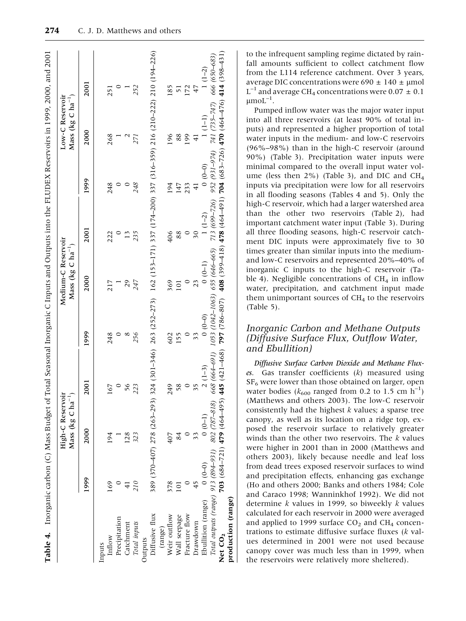|                                     |               | High-C Reservoir<br>Mass (kg C $ha^{-1}$ ) |                |                                                                                                        | Medium-C Reservoir<br>Mass (kg C $ha^{-1}$ ) |               |                | Mass (kg C $ha^{-1}$ )<br>Low-C Reservoir                             |                |
|-------------------------------------|---------------|--------------------------------------------|----------------|--------------------------------------------------------------------------------------------------------|----------------------------------------------|---------------|----------------|-----------------------------------------------------------------------|----------------|
|                                     | 1999          | 2000                                       | 2001           | 1999                                                                                                   | 2000                                         | 2001          | 1999           | 2000                                                                  | 2001           |
| Inputs                              |               |                                            |                |                                                                                                        |                                              |               |                |                                                                       |                |
| Inflow                              | 169           | 194                                        | 167            | 248                                                                                                    | 217                                          | 222           | 248            | 268                                                                   | 251            |
| Precipitation                       |               |                                            | $\circ$        |                                                                                                        |                                              | $\circ$       |                |                                                                       |                |
| Catchment                           | $\frac{1}{4}$ | 128                                        | 56             | $\infty$                                                                                               | 29                                           | 13            |                |                                                                       |                |
| Total inputs                        | 210           | 323                                        | 223            | 256                                                                                                    | 247                                          | 235           | 248            | 271                                                                   | 252            |
| Outputs                             |               |                                            |                |                                                                                                        |                                              |               |                |                                                                       |                |
| Diffusive flux                      |               | 389 (370-407) 278 (263-293)                |                | 324 (301-346) 263 (252-273)                                                                            |                                              |               |                | 162 (153-171) 337 (174-200) 337 (316-359) 216 (210-222) 210 (194-226) |                |
| (range)                             |               |                                            |                |                                                                                                        |                                              |               |                |                                                                       |                |
| Weir outflow                        | 378           | 407                                        | 249            | 602                                                                                                    | 369                                          | 406           | 194            | 196                                                                   | 185            |
| Wall seepage                        | 101           | 84                                         | 58             | 155                                                                                                    | 101                                          | 88            | 147            | 88                                                                    | $\overline{5}$ |
| Fracture flow                       |               |                                            |                |                                                                                                        | $\circ$                                      | $\circ$       | 233            | 199                                                                   | 172            |
| Drawdown                            | 45            | 33                                         | $\frac{25}{3}$ | 33                                                                                                     | 23                                           | 50            | $\overline{4}$ | $\overline{41}$                                                       | 47             |
| Ebullition (range)                  | $(0 - 0)$     | $0(0-1)$                                   | $2(1-3)$       | $0(0-0)$                                                                                               | $(0 - 1)$                                    | $1(1-2)$      | $(0 - 0)$      | $1(1-1)$                                                              | $1(1-2)$       |
| Total outputs (range) 913 (894-931) |               | 802 (787-818)                              | 668 (664-691)  | 1053 (1042-1063) 655 (646-665)                                                                         |                                              | 713 (699-726) | 952 (931-974)  | 741 (735-747)                                                         | 666 (650–683)  |
| Net CO <sub>2</sub>                 |               | 703 (684–721) 479 (464–495)                |                | 445 (421-468) 797 (786-807) 408 (304-4818) 478 (464-491) 704 (683-726) 404-476 (484-476) 414 (398-131) |                                              |               |                |                                                                       |                |
| production (range)                  |               |                                            |                |                                                                                                        |                                              |               |                |                                                                       |                |

to the infrequent sampling regime dictated by rainfall amounts sufficient to collect catchment flow from the L114 reference catchment. Over 3 years, average DIC concentrations were 690  $\pm$  140  $\pm$  µmol  $L^{-1}$  and average CH<sub>4</sub> concentrations were 0.07  $\pm$  0.1  $\mu$ moL $^{-1}$ .

Pumped inflow water was the major water input into all three reservoirs (at least 90% of total inputs) and represented a higher proportion of total water inputs in the medium- and low-C reservoirs (96%–98%) than in the high-C reservoir (around 90%) (Table 3). Precipitation water inputs were minimal compared to the overall input water volume (less then  $2\%$ ) (Table 3), and DIC and CH<sub>4</sub> inputs via precipitation were low for all reservoirs in all flooding seasons (Tables 4 and 5). Only the high-C reservoir, which had a larger watershed area than the other two reservoirs (Table 2), had important catchment water input (Table 3). During all three flooding seasons, high-C reservoir catchment DIC inputs were approximately five to 30 times greater than similar inputs into the mediumand low-C reservoirs and represented 20%–40% of inorganic C inputs to the high-C reservoir (Table 4). Negligible concentrations of  $CH<sub>4</sub>$  in inflow water, precipitation, and catchment input made them unimportant sources of  $CH<sub>4</sub>$  to the reservoirs (Table 5).

## Inorganic Carbon and Methane Outputs (Diffusive Surface Flux, Outflow Water, and Ebullition)

Diffusive Surface Carbon Dioxide and Methane Fluxes. Gas transfer coefficients  $(k)$  measured using  $SF<sub>6</sub>$  were lower than those obtained on larger, open water bodies ( $k_{600}$  ranged from 0.2 to 1.5 cm  $\rm \bar{h}^{-1})$ (Matthews and others 2003). The low-C reservoir consistently had the highest  $k$  values; a sparse tree canopy, as well as its location on a ridge top, exposed the reservoir surface to relatively greater winds than the other two reservoirs. The  $k$  values were higher in 2001 than in 2000 (Matthews and others 2003), likely because needle and leaf loss from dead trees exposed reservoir surfaces to wind and precipitation effects, enhancing gas exchange (Ho and others 2000; Banks and others 1984; Cole and Caraco 1998; Wanninkhof 1992). We did not determine  $k$  values in 1999, so biweekly  $k$  values calculated for each reservoir in 2000 were averaged and applied to 1999 surface  $CO<sub>2</sub>$  and  $CH<sub>4</sub>$  concentrations to estimate diffusive surface fluxes (k values determined in 2001 were not used because canopy cover was much less than in 1999, when the reservoirs were relatively more sheltered).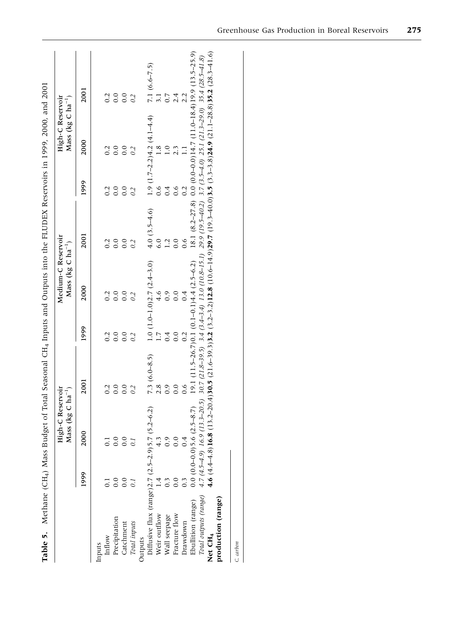|                                                                |                  | High-C Reservoir<br>Mass (kg C $ha^{-1}$ ) |                                              |      | Medium-C Reservoir<br>Mass (kg C $ha^{-1}$ ) |                 |      | Mass (kg C $ha^{-1}$ )<br>High-C Reservoir |                                                                                                                                         |
|----------------------------------------------------------------|------------------|--------------------------------------------|----------------------------------------------|------|----------------------------------------------|-----------------|------|--------------------------------------------|-----------------------------------------------------------------------------------------------------------------------------------------|
|                                                                | 1999             | 2000                                       | 2001                                         | 1999 | 2000                                         | 2001            | 1999 | 2000                                       | 2001                                                                                                                                    |
| Inflow<br>Inputs                                               |                  | 0.1                                        | 0.2                                          | 0.2  | 0.2                                          | 0.2             | 0.2  | 0.2                                        |                                                                                                                                         |
| Precipitation                                                  | 0.0              | 0.0                                        | 0.0                                          | 0.0  | 0.0                                          | 0.0             | 0.0  | 0.0                                        | 0.2                                                                                                                                     |
| Catchment                                                      | 0.0              | 0.0                                        | 0.0                                          | 0.0  | 0.0                                          | 0.0             | 0.0  | 0.0                                        | 0.0                                                                                                                                     |
| Total inputs                                                   | $\overline{0}$   | $\overline{0}$ .                           | 0.2                                          | 0.2  | 0.2                                          | 0.2             | 0.2  | 0.2                                        | 0.2                                                                                                                                     |
| Outputs                                                        |                  |                                            |                                              |      |                                              |                 |      |                                            |                                                                                                                                         |
| Diffusive flux (range) $2.7$ ( $2.5-2.9$ ) $5.7$ ( $5.2-6.2$ ) |                  |                                            | $7.3(6.0-8.5)$                               |      | $1.0$ ( $1.0-1.0$ ) $2.7$ ( $2.4-3.0$ )      | 4.0 $(3.5-4.6)$ |      | $1.9(1.7-2.2)4.2(4.1-4.4)$                 | $7.1(6.6-7.5)$                                                                                                                          |
| Weir outflow                                                   | $\ddot{ }$       | 4.3                                        | 2.8                                          |      | 4.6                                          | 6.0             | 0.6  | 1.8                                        | 3.1                                                                                                                                     |
| Wall seepage                                                   | $0.\overline{3}$ | 0.9                                        | 0.9                                          | 0.4  | 0.9                                          |                 | 0.4  | 1.0                                        | 0.7                                                                                                                                     |
| Fracture flow                                                  | 0.0              | 0.0                                        | 0.0                                          | 0.0  | 0.0                                          |                 | 0.6  | 2.3                                        | 2.4                                                                                                                                     |
| Drawdown                                                       | $0.\overline{3}$ | 0.4                                        | 0.6                                          | 0.2  | 0.4                                          |                 | 0.2  | Ξ                                          | 2.2                                                                                                                                     |
| Ebullition (range)                                             |                  | $0.0$ (0.0–0.0) 5.6 (2.5–8.7)              | 19.1 (11.5–26.7) 0.1 (0.1–0.1) 4.4 (2.5–6.2) |      |                                              |                 |      |                                            | 18.1 (8.2–27.8) $0.0$ (0.0–0.0) 14.7 (11.0–18.4) 19.9 (13.5–25.9)                                                                       |
| Total outputs (range)                                          |                  | $4.7(4.5-4.9)$ 16.9 (13.3-20.5)            |                                              |      |                                              |                 |      |                                            | $30.7(21.8-39.5)$ $3.4(3.4-3.4)$ $13.0(10.8-15.1)$ $29.9(19.5-40.2)$ $3.7(3.5-4.0)$ $25.1(21.3-29.0)$ $35.4(28.5-41.8)$                 |
| Net CH <sub>4</sub>                                            |                  |                                            |                                              |      |                                              |                 |      |                                            | 4.6 (4.4-4.8)16.8 (13.2-20.4)30.5 (21.6-39.3)3.2 (3.2-3.2)12.8 (10.6-14.9)29.7 (19.3-40.0)3.5 (3.3-3.8)24.9 (21.1-28.8)35.2 (28.3-41.6) |
| production (range)                                             |                  |                                            |                                              |      |                                              |                 |      |                                            |                                                                                                                                         |
| C, carbon                                                      |                  |                                            |                                              |      |                                              |                 |      |                                            |                                                                                                                                         |

Greenhouse Gas Production in Boreal Reservoirs 275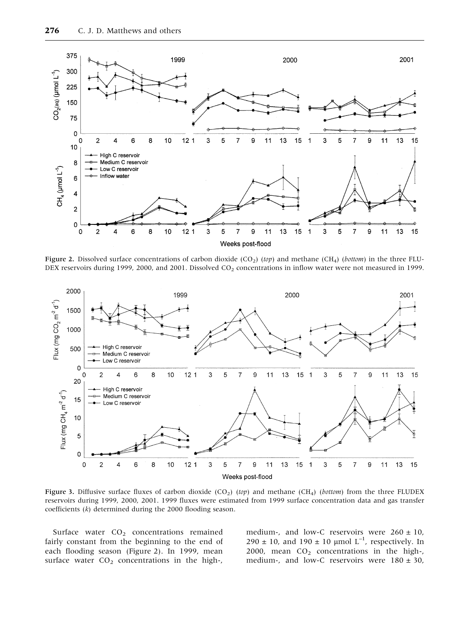

Figure 2. Dissolved surface concentrations of carbon dioxide (CO<sub>2</sub>) (top) and methane (CH<sub>4</sub>) (bottom) in the three FLU-DEX reservoirs during 1999, 2000, and 2001. Dissolved CO<sub>2</sub> concentrations in inflow water were not measured in 1999.



Figure 3. Diffusive surface fluxes of carbon dioxide (CO<sub>2</sub>) (top) and methane (CH<sub>4</sub>) (bottom) from the three FLUDEX reservoirs during 1999, 2000, 2001. 1999 fluxes were estimated from 1999 surface concentration data and gas transfer coefficients (k) determined during the 2000 flooding season.

Surface water  $CO<sub>2</sub>$  concentrations remained fairly constant from the beginning to the end of each flooding season (Figure 2). In 1999, mean surface water  $CO<sub>2</sub>$  concentrations in the high-, medium-, and low-C reservoirs were  $260 \pm 10$ ,  $290 \pm 10$ , and  $190 \pm 10$  µmol L<sup>-1</sup>, respectively. In 2000, mean  $CO<sub>2</sub>$  concentrations in the high-, medium-, and low-C reservoirs were  $180 \pm 30$ ,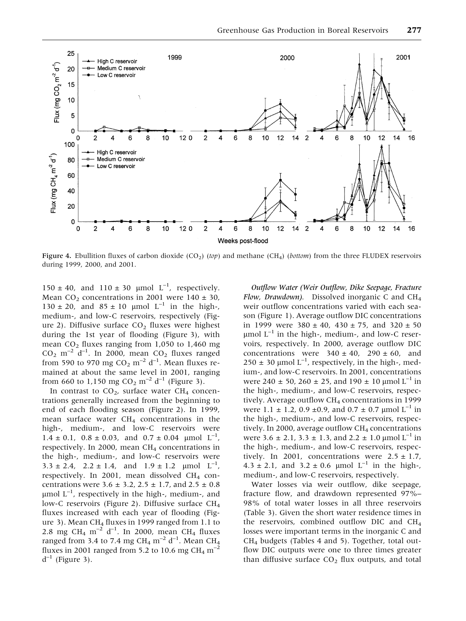

Figure 4. Ebullition fluxes of carbon dioxide (CO<sub>2</sub>) (top) and methane (CH<sub>4</sub>) (bottom) from the three FLUDEX reservoirs during 1999, 2000, and 2001.

 $150 \pm 40$ , and  $110 \pm 30$  µmol L<sup>-1</sup>, respectively. Mean CO<sub>2</sub> concentrations in 2001 were 140  $\pm$  30,  $130 \pm 20$ , and  $85 \pm 10$  µmol L<sup>-1</sup> in the high-, medium-, and low-C reservoirs, respectively (Figure 2). Diffusive surface  $CO<sub>2</sub>$  fluxes were highest during the 1st year of flooding (Figure 3), with mean  $CO<sub>2</sub>$  fluxes ranging from 1,050 to 1,460 mg  $CO<sub>2</sub>$  m<sup>-2</sup> d<sup>-1</sup>. In 2000, mean  $CO<sub>2</sub>$  fluxes ranged from 590 to 970 mg  $CO_2$  m<sup>-2</sup> d<sup>-1</sup>. Mean fluxes remained at about the same level in 2001, ranging from 660 to 1,150 mg  $CO_2$  m<sup>-2</sup> d<sup>-1</sup> (Figure 3).

In contrast to  $CO<sub>2</sub>$ , surface water CH<sub>4</sub> concentrations generally increased from the beginning to end of each flooding season (Figure 2). In 1999, mean surface water  $CH<sub>4</sub>$  concentrations in the high-, medium-, and low-C reservoirs were  $1.4 \pm 0.1$ ,  $0.8 \pm 0.03$ , and  $0.7 \pm 0.04$  µmol  $L^{-1}$ , respectively. In 2000, mean  $CH<sub>4</sub>$  concentrations in the high-, medium-, and low-C reservoirs were  $3.3 \pm 2.4$ ,  $2.2 \pm 1.4$ , and  $1.9 \pm 1.2$  µmol  $L^{-1}$ , respectively. In 2001, mean dissolved  $CH<sub>4</sub>$  concentrations were  $3.6 \pm 3.2$ ,  $2.5 \pm 1.7$ , and  $2.5 \pm 0.8$  $\mu$ mol L<sup>-1</sup>, respectively in the high-, medium-, and low-C reservoirs (Figure 2). Diffusive surface CH4 fluxes increased with each year of flooding (Figure 3). Mean  $CH_4$  fluxes in 1999 ranged from 1.1 to 2.8 mg CH<sub>4</sub> m<sup>-2</sup> d<sup>-1</sup>. In 2000, mean CH<sub>4</sub> fluxes ranged from 3.4 to 7.4 mg  $\rm CH_{4}$   $\rm m^{\rm -2}$   $\rm d^{\rm -1}.$  Mean  $\rm CH_{4}$ fluxes in 2001 ranged from 5.2 to 10.6 mg CH<sub>4</sub> m<sup>-2</sup>  $d^{-1}$  (Figure 3).

Outflow Water (Weir Outflow, Dike Seepage, Fracture Flow, Drawdown). Dissolved inorganic C and  $CH<sub>4</sub>$ weir outflow concentrations varied with each season (Figure 1). Average outflow DIC concentrations in 1999 were  $380 \pm 40$ ,  $430 \pm 75$ , and  $320 \pm 50$  $\mu$ mol  $L^{-1}$  in the high-, medium-, and low-C reservoirs, respectively. In 2000, average outflow DIC concentrations were  $340 \pm 40$ ,  $290 \pm 60$ , and  $250 \pm 30$  µmol L<sup>-1</sup>, respectively, in the high-, medium-, and low-C reservoirs. In 2001, concentrations were 240  $\pm$  50, 260  $\pm$  25, and 190  $\pm$  10 µmol L<sup>-1</sup> in the high-, medium-, and low-C reservoirs, respectively. Average outflow CH<sub>4</sub> concentrations in 1999 were 1.1  $\pm$  1.2, 0.9  $\pm$ 0.9, and 0.7  $\pm$  0.7 µmol L<sup>-1</sup> in the high-, medium-, and low-C reservoirs, respectively. In 2000, average outflow  $CH<sub>4</sub>$  concentrations were 3.6  $\pm$  2.1, 3.3  $\pm$  1.3, and 2.2  $\pm$  1.0 µmol L<sup>-1</sup> in the high-, medium-, and low-C reservoirs, respectively. In 2001, concentrations were  $2.5 \pm 1.7$ , 4.3 ± 2.1, and 3.2 ± 0.6 µmol  $L^{-1}$  in the high-, medium-, and low-C reservoirs, respectively.

Water losses via weir outflow, dike seepage, fracture flow, and drawdown represented 97%– 98% of total water losses in all three reservoirs (Table 3). Given the short water residence times in the reservoirs, combined outflow DIC and CH4 losses were important terms in the inorganic C and  $CH<sub>4</sub>$  budgets (Tables 4 and 5). Together, total outflow DIC outputs were one to three times greater than diffusive surface  $CO<sub>2</sub>$  flux outputs, and total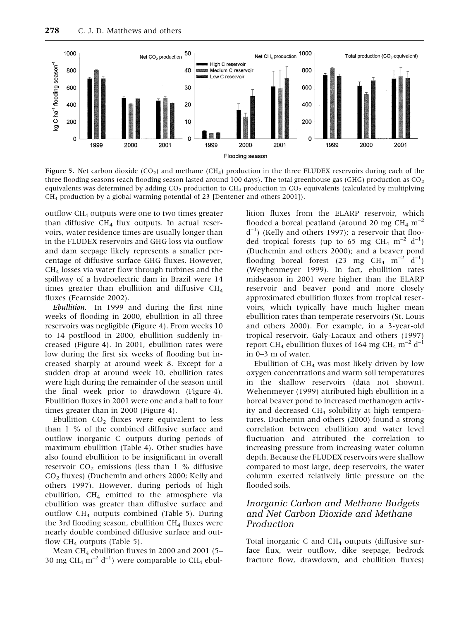

Figure 5. Net carbon dioxide (CO<sub>2</sub>) and methane (CH<sub>4</sub>) production in the three FLUDEX reservoirs during each of the three flooding seasons (each flooding season lasted around 100 days). The total greenhouse gas (GHG) production as  $CO<sub>2</sub>$ equivalents was determined by adding  $CO<sub>2</sub>$  production to  $CH<sub>4</sub>$  production in  $CO<sub>2</sub>$  equivalents (calculated by multiplying  $CH<sub>4</sub>$  production by a global warming potential of 23 [Dentener and others 2001]).

outflow CH4 outputs were one to two times greater than diffusive  $CH_4$  flux outputs. In actual reservoirs, water residence times are usually longer than in the FLUDEX reservoirs and GHG loss via outflow and dam seepage likely represents a smaller percentage of diffusive surface GHG fluxes. However, CH4 losses via water flow through turbines and the spillway of a hydroelectric dam in Brazil were 14 times greater than ebullition and diffusive CH4 fluxes (Fearnside 2002).

Ebullition. In 1999 and during the first nine weeks of flooding in 2000, ebullition in all three reservoirs was negligible (Figure 4). From weeks 10 to 14 postflood in 2000, ebullition suddenly increased (Figure 4). In 2001, ebullition rates were low during the first six weeks of flooding but increased sharply at around week 8. Except for a sudden drop at around week 10, ebullition rates were high during the remainder of the season until the final week prior to drawdown (Figure 4). Ebullition fluxes in 2001 were one and a half to four times greater than in 2000 (Figure 4).

Ebullition  $CO<sub>2</sub>$  fluxes were equivalent to less than 1 % of the combined diffusive surface and outflow inorganic C outputs during periods of maximum ebullition (Table 4). Other studies have also found ebullition to be insignificant in overall reservoir  $CO<sub>2</sub>$  emissions (less than 1 % diffusive CO2 fluxes) (Duchemin and others 2000; Kelly and others 1997). However, during periods of high ebullition,  $CH<sub>4</sub>$  emitted to the atmosphere via ebullition was greater than diffusive surface and outflow CH<sub>4</sub> outputs combined (Table 5). During the 3rd flooding season, ebullition  $CH<sub>4</sub>$  fluxes were nearly double combined diffusive surface and outflow  $CH_4$  outputs (Table 5).

Mean CH<sub>4</sub> ebullition fluxes in 2000 and 2001 (5– 30 mg CH<sub>4</sub> m<sup>-2</sup> d<sup>-1</sup>) were comparable to CH<sub>4</sub> ebullition fluxes from the ELARP reservoir, which flooded a boreal peatland (around 20 mg CH<sub>4</sub> m<sup>-2</sup> d–1 ) (Kelly and others 1997); a reservoir that flooded tropical forests (up to 65 mg CH<sub>4</sub> m<sup>-2</sup> d<sup>-1</sup>) (Duchemin and others 2000); and a beaver pond flooding boreal forest (23 mg  $CH_4$  m<sup>-2</sup> d<sup>-1</sup>) (Weyhenmeyer 1999). In fact, ebullition rates midseason in 2001 were higher than the ELARP reservoir and beaver pond and more closely approximated ebullition fluxes from tropical reservoirs, which typically have much higher mean ebullition rates than temperate reservoirs (St. Louis and others 2000). For example, in a 3-year-old tropical reservoir, Galy-Lacaux and others (1997) report CH<sub>4</sub> ebullition fluxes of 164 mg CH<sub>4</sub> m<sup>-2</sup> d<sup>-1</sup> in 0–3 m of water.

Ebullition of  $CH<sub>4</sub>$  was most likely driven by low oxygen concentrations and warm soil temperatures in the shallow reservoirs (data not shown). Wehenmeyer (1999) attributed high ebullition in a boreal beaver pond to increased methanogen activity and decreased  $CH<sub>4</sub>$  solubility at high temperatures. Duchemin and others (2000) found a strong correlation between ebullition and water level fluctuation and attributed the correlation to increasing pressure from increasing water column depth. Because the FLUDEX reservoirs were shallow compared to most large, deep reservoirs, the water column exerted relatively little pressure on the flooded soils.

#### Inorganic Carbon and Methane Budgets and Net Carbon Dioxide and Methane Production

Total inorganic C and  $CH<sub>4</sub>$  outputs (diffusive surface flux, weir outflow, dike seepage, bedrock fracture flow, drawdown, and ebullition fluxes)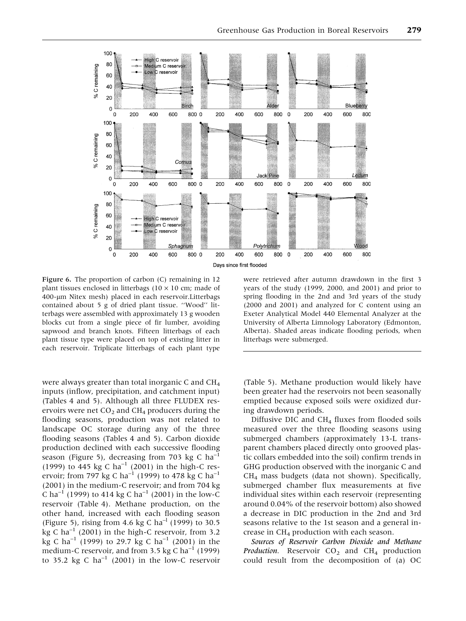

Figure 6. The proportion of carbon (C) remaining in 12 plant tissues enclosed in litterbags (10  $\times$  10 cm; made of 400-lm Nitex mesh) placed in each reservoir.Litterbags contained about 5 g of dried plant tissue. ''Wood'' litterbags were assembled with approximately 13 g wooden blocks cut from a single piece of fir lumber, avoiding sapwood and branch knots. Fifteen litterbags of each plant tissue type were placed on top of existing litter in each reservoir. Triplicate litterbags of each plant type

were always greater than total inorganic C and  $CH<sub>4</sub>$ inputs (inflow, precipitation, and catchment input) (Tables 4 and 5). Although all three FLUDEX reservoirs were net  $CO<sub>2</sub>$  and  $CH<sub>4</sub>$  producers during the flooding seasons, production was not related to landscape OC storage during any of the three flooding seasons (Tables 4 and 5). Carbon dioxide production declined with each successive flooding season (Figure 5), decreasing from 703 kg C ha<sup>-1</sup> (1999) to 445 kg C ha<sup>-1</sup> (2001) in the high-C reservoir; from 797 kg C ha<sup>-1</sup> (1999) to 478 kg C ha<sup>-1</sup> (2001) in the medium-C reservoir; and from 704 kg C ha<sup>-1</sup> (1999) to 414 kg C ha<sup>-1</sup> (2001) in the low-C reservoir (Table 4). Methane production, on the other hand, increased with each flooding season (Figure 5), rising from 4.6 kg C ha<sup>-1</sup> (1999) to 30.5 kg C ha<sup>-1</sup> (2001) in the high-C reservoir, from 3.2 kg C ha<sup>-1</sup> (1999) to 29.7 kg C ha<sup>-1</sup> (2001) in the medium-C reservoir, and from 3.5 kg C ha<sup>-1</sup> (1999) to 35.2 kg C  $ha^{-1}$  (2001) in the low-C reservoir

were retrieved after autumn drawdown in the first 3 years of the study (1999, 2000, and 2001) and prior to spring flooding in the 2nd and 3rd years of the study (2000 and 2001) and analyzed for C content using an Exeter Analytical Model 440 Elemental Analyzer at the University of Alberta Limnology Laboratory (Edmonton, Alberta). Shaded areas indicate flooding periods, when litterbags were submerged.

(Table 5). Methane production would likely have been greater had the reservoirs not been seasonally emptied because exposed soils were oxidized during drawdown periods.

Diffusive DIC and  $CH<sub>4</sub>$  fluxes from flooded soils measured over the three flooding seasons using submerged chambers (approximately 13-L transparent chambers placed directly onto grooved plastic collars embedded into the soil) confirm trends in GHG production observed with the inorganic C and  $CH<sub>4</sub>$  mass budgets (data not shown). Specifically, submerged chamber flux measurements at five individual sites within each reservoir (representing around 0.04% of the reservoir bottom) also showed a decrease in DIC production in the 2nd and 3rd seasons relative to the 1st season and a general increase in  $CH<sub>4</sub>$  production with each season.

Sources of Reservoir Carbon Dioxide and Methane Production. Reservoir  $CO<sub>2</sub>$  and  $CH<sub>4</sub>$  production could result from the decomposition of (a) OC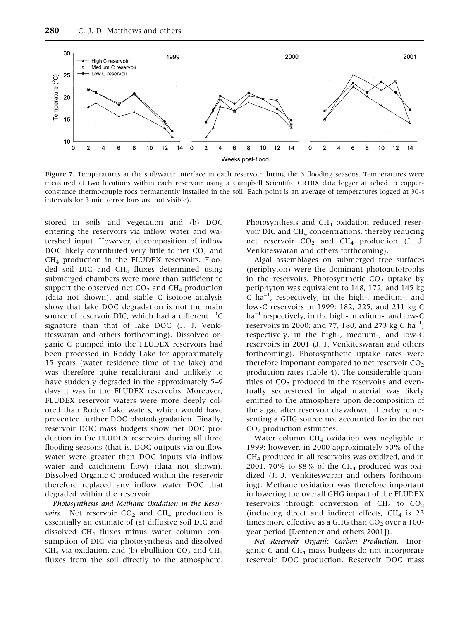

Figure 7. Temperatures at the soil/water interface in each reservoir during the 3 flooding seasons. Temperatures were measured at two locations within each reservoir using a Campbell Scientific CR10X data logger attached to copperconstance thermocouple rods permanently installed in the soil. Each point is an average of temperatures logged at 30-s intervals for 3 min (error bars are not visible).

stored in soils and vegetation and (b) DOC entering the reservoirs via inflow water and watershed input. However, decomposition of inflow DOC likely contributed very little to net  $CO<sub>2</sub>$  and  $CH<sub>4</sub>$  production in the FLUDEX reservoirs. Flooded soil DIC and  $CH<sub>4</sub>$  fluxes determined using submerged chambers were more than sufficient to support the observed net  $CO<sub>2</sub>$  and  $CH<sub>4</sub>$  production (data not shown), and stable C isotope analysis show that lake DOC degradation is not the main source of reservoir DIC, which had a different  $^{13}$ C signature than that of lake DOC (J. J. Venkiteswaran and others forthcoming). Dissolved organic C pumped into the FLUDEX reservoirs had been processed in Roddy Lake for approximately 15 years (water residence time of the lake) and was therefore quite recalcitrant and unlikely to have suddenly degraded in the approximately 5–9 days it was in the FLUDEX reservoirs. Moreover, FLUDEX reservoir waters were more deeply colored than Roddy Lake waters, which would have prevented further DOC photodegradation. Finally, reservoir DOC mass budgets show net DOC production in the FLUDEX reservoirs during all three flooding seasons (that is, DOC outputs via outflow water were greater than DOC inputs via inflow water and catchment flow) (data not shown). Dissolved Organic C produced within the reservoir therefore replaced any inflow water DOC that degraded within the reservoir.

Photosynthesis and Methane Oxidation in the Reser*voirs*. Net reservoir  $CO<sub>2</sub>$  and  $CH<sub>4</sub>$  production is essentially an estimate of (a) diffusive soil DIC and dissolved CH4 fluxes minus water column consumption of DIC via photosynthesis and dissolved  $CH<sub>4</sub>$  via oxidation, and (b) ebullition  $CO<sub>2</sub>$  and  $CH<sub>4</sub>$ fluxes from the soil directly to the atmosphere. Photosynthesis and CH<sub>4</sub> oxidation reduced reservoir DIC and CH4 concentrations, thereby reducing net reservoir CO<sub>2</sub> and CH<sub>4</sub> production (J. J. Venkiteswaran and others forthcoming).

Algal assemblages on submerged tree surfaces (periphyton) were the dominant photoautotrophs in the reservoirs. Photosynthetic  $CO<sub>2</sub>$  uptake by periphyton was equivalent to 148, 172, and 145 kg C ha–1 , respectively, in the high-, medium-, and low-C reservoirs in 1999; 182, 225, and 211 kg C  $ha^{-1}$  respectively, in the high-, medium-, and low-C reservoirs in 2000; and 77, 180, and 273 kg C ha<sup>-1</sup>, respectively, in the high-, medium-, and low-C reservoirs in 2001 (J. J. Venkiteswaran and others forthcoming). Photosynthetic uptake rates were therefore important compared to net reservoir  $CO<sub>2</sub>$ production rates (Table 4). The considerable quantities of  $CO<sub>2</sub>$  produced in the reservoirs and eventually sequestered in algal material was likely emitted to the atmosphere upon decomposition of the algae after reservoir drawdown, thereby representing a GHG source not accounted for in the net  $CO<sub>2</sub>$  production estimates.

Water column CH<sub>4</sub> oxidation was negligible in 1999; however, in 2000 approximately 50% of the CH4 produced in all reservoirs was oxidized, and in 2001, 70% to 88% of the CH<sub>4</sub> produced was oxidized (J. J. Venkiteswaran and others forthcoming). Methane oxidation was therefore important in lowering the overall GHG impact of the FLUDEX reservoirs through conversion of  $CH_4$  to  $CO_2$ (including direct and indirect effects,  $CH<sub>4</sub>$  is 23 times more effective as a GHG than  $CO<sub>2</sub>$  over a 100year period [Dentener and others 2001]).

Net Reservoir Organic Carbon Production. Inorganic C and CH4 mass budgets do not incorporate reservoir DOC production. Reservoir DOC mass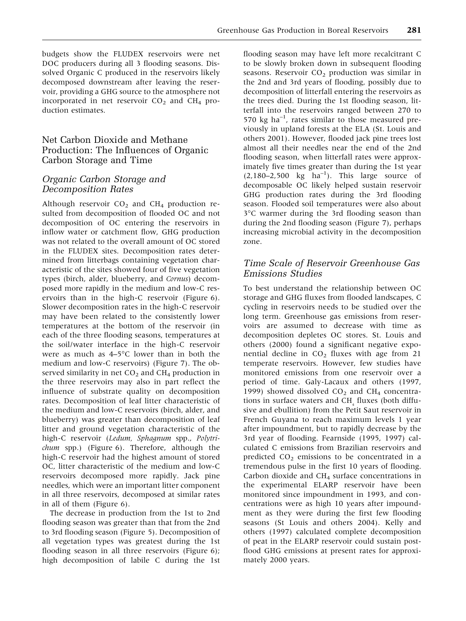budgets show the FLUDEX reservoirs were net DOC producers during all 3 flooding seasons. Dissolved Organic C produced in the reservoirs likely decomposed downstream after leaving the reservoir, providing a GHG source to the atmosphere not incorporated in net reservoir  $CO<sub>2</sub>$  and  $CH<sub>4</sub>$  production estimates.

## Net Carbon Dioxide and Methane Production: The Influences of Organic Carbon Storage and Time

## Organic Carbon Storage and Decomposition Rates

Although reservoir  $CO<sub>2</sub>$  and  $CH<sub>4</sub>$  production resulted from decomposition of flooded OC and not decomposition of OC entering the reservoirs in inflow water or catchment flow, GHG production was not related to the overall amount of OC stored in the FLUDEX sites. Decomposition rates determined from litterbags containing vegetation characteristic of the sites showed four of five vegetation types (birch, alder, blueberry, and Cornus) decomposed more rapidly in the medium and low-C reservoirs than in the high-C reservoir (Figure 6). Slower decomposition rates in the high-C reservoir may have been related to the consistently lower temperatures at the bottom of the reservoir (in each of the three flooding seasons, temperatures at the soil/water interface in the high-C reservoir were as much as  $4-5^{\circ}$ C lower than in both the medium and low-C reservoirs) (Figure 7). The observed similarity in net  $CO<sub>2</sub>$  and  $CH<sub>4</sub>$  production in the three reservoirs may also in part reflect the influence of substrate quality on decomposition rates. Decomposition of leaf litter characteristic of the medium and low-C reservoirs (birch, alder, and blueberry) was greater than decomposition of leaf litter and ground vegetation characteristic of the high-C reservoir (Ledum, Sphagnum spp., Polytrichum spp.) (Figure 6). Therefore, although the high-C reservoir had the highest amount of stored OC, litter characteristic of the medium and low-C reservoirs decomposed more rapidly. Jack pine needles, which were an important litter component in all three reservoirs, decomposed at similar rates in all of them (Figure 6).

The decrease in production from the 1st to 2nd flooding season was greater than that from the 2nd to 3rd flooding season (Figure 5). Decomposition of all vegetation types was greatest during the 1st flooding season in all three reservoirs (Figure 6); high decomposition of labile C during the 1st

flooding season may have left more recalcitrant C to be slowly broken down in subsequent flooding seasons. Reservoir  $CO<sub>2</sub>$  production was similar in the 2nd and 3rd years of flooding, possibly due to decomposition of litterfall entering the reservoirs as the trees died. During the 1st flooding season, litterfall into the reservoirs ranged between 270 to 570 kg ha–1 , rates similar to those measured previously in upland forests at the ELA (St. Louis and others 2001). However, flooded jack pine trees lost almost all their needles near the end of the 2nd flooding season, when litterfall rates were approximately five times greater than during the 1st year  $(2,180-2,500 \text{ kg} \text{ ha}^{-1})$ . This large source of decomposable OC likely helped sustain reservoir GHG production rates during the 3rd flooding season. Flooded soil temperatures were also about 3-C warmer during the 3rd flooding season than during the 2nd flooding season (Figure 7), perhaps increasing microbial activity in the decomposition zone.

# Time Scale of Reservoir Greenhouse Gas Emissions Studies

To best understand the relationship between OC storage and GHG fluxes from flooded landscapes, C cycling in reservoirs needs to be studied over the long term. Greenhouse gas emissions from reservoirs are assumed to decrease with time as decomposition depletes OC stores. St. Louis and others (2000) found a significant negative exponential decline in  $CO<sub>2</sub>$  fluxes with age from 21 temperate reservoirs. However, few studies have monitored emissions from one reservoir over a period of time. Galy-Lacaux and others (1997, 1999) showed dissolved  $CO<sub>2</sub>$  and  $CH<sub>4</sub>$  concentrations in surface waters and  $CH<sub>4</sub>$  fluxes (both diffusive and ebullition) from the Petit Saut reservoir in French Guyana to reach maximum levels 1 year after impoundment, but to rapidly decrease by the 3rd year of flooding. Fearnside (1995, 1997) calculated C emissions from Brazilian reservoirs and predicted  $CO<sub>2</sub>$  emissions to be concentrated in a tremendous pulse in the first 10 years of flooding. Carbon dioxide and  $CH<sub>4</sub>$  surface concentrations in the experimental ELARP reservoir have been monitored since impoundment in 1993, and concentrations were as high 10 years after impoundment as they were during the first few flooding seasons (St Louis and others 2004). Kelly and others (1997) calculated complete decomposition of peat in the ELARP reservoir could sustain postflood GHG emissions at present rates for approximately 2000 years.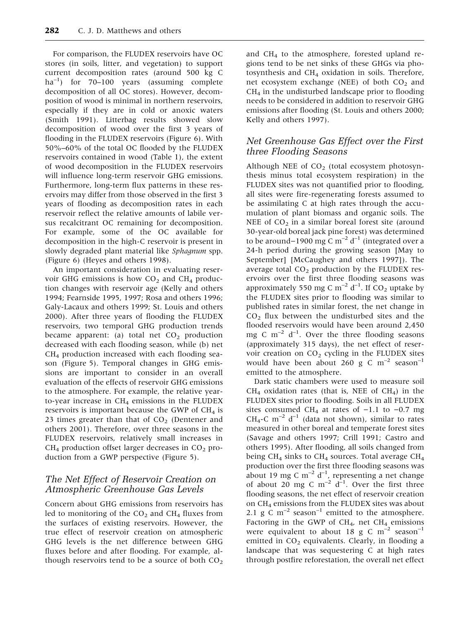For comparison, the FLUDEX reservoirs have OC stores (in soils, litter, and vegetation) to support current decomposition rates (around 500 kg C ha<sup>-1</sup>) for 70-100 years (assuming complete decomposition of all OC stores). However, decomposition of wood is minimal in northern reservoirs, especially if they are in cold or anoxic waters (Smith 1991). Litterbag results showed slow decomposition of wood over the first 3 years of flooding in the FLUDEX reservoirs (Figure 6). With 50%–60% of the total OC flooded by the FLUDEX reservoirs contained in wood (Table 1), the extent of wood decomposition in the FLUDEX reservoirs will influence long-term reservoir GHG emissions. Furthermore, long-term flux patterns in these reservoirs may differ from those observed in the first 3 years of flooding as decomposition rates in each reservoir reflect the relative amounts of labile versus recalcitrant OC remaining for decomposition. For example, some of the OC available for decomposition in the high-C reservoir is present in slowly degraded plant material like Sphagnum spp. (Figure 6) (Heyes and others 1998).

An important consideration in evaluating reservoir GHG emissions is how  $CO<sub>2</sub>$  and CH<sub>4</sub> production changes with reservoir age (Kelly and others 1994; Fearnside 1995, 1997; Rosa and others 1996; Galy-Lacaux and others 1999; St. Louis and others 2000). After three years of flooding the FLUDEX reservoirs, two temporal GHG production trends became apparent: (a) total net  $CO<sub>2</sub>$  production decreased with each flooding season, while (b) net  $CH<sub>4</sub>$  production increased with each flooding season (Figure 5). Temporal changes in GHG emissions are important to consider in an overall evaluation of the effects of reservoir GHG emissions to the atmosphere. For example, the relative yearto-year increase in  $CH_4$  emissions in the FLUDEX reservoirs is important because the GWP of  $CH<sub>4</sub>$  is 23 times greater than that of  $CO<sub>2</sub>$  (Dentener and others 2001). Therefore, over three seasons in the FLUDEX reservoirs, relatively small increases in  $CH<sub>4</sub>$  production offset larger decreases in  $CO<sub>2</sub>$  production from a GWP perspective (Figure 5).

# The Net Effect of Reservoir Creation on Atmospheric Greenhouse Gas Levels

Concern about GHG emissions from reservoirs has led to monitoring of the  $CO<sub>2</sub>$  and  $CH<sub>4</sub>$  fluxes from the surfaces of existing reservoirs. However, the true effect of reservoir creation on atmospheric GHG levels is the net difference between GHG fluxes before and after flooding. For example, although reservoirs tend to be a source of both  $CO<sub>2</sub>$  and CH4 to the atmosphere, forested upland regions tend to be net sinks of these GHGs via photosynthesis and  $CH_4$  oxidation in soils. Therefore, net ecosystem exchange (NEE) of both  $CO<sub>2</sub>$  and  $CH<sub>4</sub>$  in the undisturbed landscape prior to flooding needs to be considered in addition to reservoir GHG emissions after flooding (St. Louis and others 2000; Kelly and others 1997).

## Net Greenhouse Gas Effect over the First three Flooding Seasons

Although NEE of  $CO<sub>2</sub>$  (total ecosystem photosynthesis minus total ecosystem respiration) in the FLUDEX sites was not quantified prior to flooding, all sites were fire-regenerating forests assumed to be assimilating C at high rates through the accumulation of plant biomass and organic soils. The NEE of  $CO<sub>2</sub>$  in a similar boreal forest site (around 30-year-old boreal jack pine forest) was determined to be around–1900 mg C  $m^{-2}$  d<sup>-1</sup> (integrated over a 24-h period during the growing season [May to September] [McCaughey and others 1997]). The average total  $CO<sub>2</sub>$  production by the FLUDEX reservoirs over the first three flooding seasons was approximately 550 mg C  $\mathrm{m}^{-2}$  d<sup>-1</sup>. If CO<sub>2</sub> uptake by the FLUDEX sites prior to flooding was similar to published rates in similar forest, the net change in  $CO<sub>2</sub>$  flux between the undisturbed sites and the flooded reservoirs would have been around 2,450 mg C  $m^{-2}$  d<sup>-1</sup>. Over the three flooding seasons (approximately 315 days), the net effect of reservoir creation on  $CO<sub>2</sub>$  cycling in the FLUDEX sites would have been about 260 g C  $m^{-2}$  season<sup>-1</sup> emitted to the atmosphere.

Dark static chambers were used to measure soil  $CH_4$  oxidation rates (that is, NEE of  $CH_4$ ) in the FLUDEX sites prior to flooding. Soils in all FLUDEX sites consumed CH<sub>4</sub> at rates of  $-1.1$  to  $-0.7$  mg CH<sub>4</sub>-C m<sup>-2</sup> d<sup>-1</sup> (data not shown), similar to rates measured in other boreal and temperate forest sites (Savage and others 1997; Crill 1991; Castro and others 1995). After flooding, all soils changed from being CH<sub>4</sub> sinks to CH<sub>4</sub> sources. Total average CH<sub>4</sub> production over the first three flooding seasons was about 19 mg C  $m^{-2}$  d<sup>-1</sup>, representing a net change of about 20 mg C  $m^{-2}$  d<sup>-1</sup>. Over the first three flooding seasons, the net effect of reservoir creation on CH4 emissions from the FLUDEX sites was about 2.1 g C  $m^{-2}$  season<sup>-1</sup> emitted to the atmosphere. Factoring in the GWP of  $CH<sub>4</sub>$ , net  $CH<sub>4</sub>$  emissions were equivalent to about 18 g C  $m^{-2}$  season<sup>-1</sup> emitted in  $CO<sub>2</sub>$  equivalents. Clearly, in flooding a landscape that was sequestering C at high rates through postfire reforestation, the overall net effect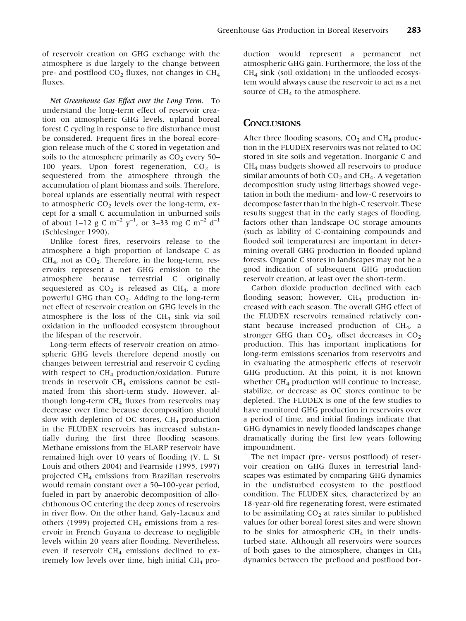of reservoir creation on GHG exchange with the atmosphere is due largely to the change between pre- and postflood  $CO<sub>2</sub>$  fluxes, not changes in  $CH<sub>4</sub>$ fluxes.

Net Greenhouse Gas Effect over the Long Term. To understand the long-term effect of reservoir creation on atmospheric GHG levels, upland boreal forest C cycling in response to fire disturbance must be considered. Frequent fires in the boreal ecoregion release much of the C stored in vegetation and soils to the atmosphere primarily as  $CO<sub>2</sub>$  every 50– 100 years. Upon forest regeneration,  $CO<sub>2</sub>$  is sequestered from the atmosphere through the accumulation of plant biomass and soils. Therefore, boreal uplands are essentially neutral with respect to atmospheric  $CO<sub>2</sub>$  levels over the long-term, except for a small C accumulation in unburned soils of about 1–12 g C m<sup>-2</sup>  $y^{-1}$ , or 3–33 mg C m<sup>-2</sup> d<sup>-1</sup> (Schlesinger 1990).

Unlike forest fires, reservoirs release to the atmosphere a high proportion of landscape C as  $CH<sub>4</sub>$ , not as  $CO<sub>2</sub>$ . Therefore, in the long-term, reservoirs represent a net GHG emission to the atmosphere because terrestrial C originally sequestered as  $CO<sub>2</sub>$  is released as  $CH<sub>4</sub>$ , a more powerful GHG than  $CO<sub>2</sub>$ . Adding to the long-term net effect of reservoir creation on GHG levels in the atmosphere is the loss of the  $CH<sub>4</sub>$  sink via soil oxidation in the unflooded ecosystem throughout the lifespan of the reservoir.

Long-term effects of reservoir creation on atmospheric GHG levels therefore depend mostly on changes between terrestrial and reservoir C cycling with respect to  $CH<sub>4</sub>$  production/oxidation. Future trends in reservoir  $CH_4$  emissions cannot be estimated from this short-term study. However, although long-term  $CH<sub>4</sub>$  fluxes from reservoirs may decrease over time because decomposition should slow with depletion of OC stores,  $CH<sub>4</sub>$  production in the FLUDEX reservoirs has increased substantially during the first three flooding seasons. Methane emissions from the ELARP reservoir have remained high over 10 years of flooding (V. L. St Louis and others 2004) and Fearnside (1995, 1997) projected CH4 emissions from Brazilian reservoirs would remain constant over a 50–100-year period, fueled in part by anaerobic decomposition of allochthonous OC entering the deep zones of reservoirs in river flow. On the other hand, Galy-Lacaux and others (1999) projected  $CH<sub>4</sub>$  emissions from a reservoir in French Guyana to decrease to negligible levels within 20 years after flooding. Nevertheless, even if reservoir  $CH_4$  emissions declined to extremely low levels over time, high initial  $CH<sub>4</sub>$  pro-

duction would represent a permanent net atmospheric GHG gain. Furthermore, the loss of the  $CH<sub>4</sub>$  sink (soil oxidation) in the unflooded ecosystem would always cause the reservoir to act as a net source of  $CH<sub>4</sub>$  to the atmosphere.

#### **CONCLUSIONS**

After three flooding seasons,  $CO<sub>2</sub>$  and  $CH<sub>4</sub>$  production in the FLUDEX reservoirs was not related to OC stored in site soils and vegetation. Inorganic C and CH4 mass budgets showed all reservoirs to produce similar amounts of both  $CO<sub>2</sub>$  and CH<sub>4</sub>. A vegetation decomposition study using litterbags showed vegetation in both the medium- and low-C reservoirs to decompose faster than in the high-C reservoir. These results suggest that in the early stages of flooding, factors other than landscape OC storage amounts (such as lability of C-containing compounds and flooded soil temperatures) are important in determining overall GHG production in flooded upland forests. Organic C stores in landscapes may not be a good indication of subsequent GHG production reservoir creation, at least over the short-term.

Carbon dioxide production declined with each flooding season; however,  $CH<sub>4</sub>$  production increased with each season. The overall GHG effect of the FLUDEX reservoirs remained relatively constant because increased production of CH4, a stronger GHG than  $CO<sub>2</sub>$ , offset decreases in  $CO<sub>2</sub>$ production. This has important implications for long-term emissions scenarios from reservoirs and in evaluating the atmospheric effects of reservoir GHG production. At this point, it is not known whether CH<sub>4</sub> production will continue to increase, stabilize, or decrease as OC stores continue to be depleted. The FLUDEX is one of the few studies to have monitored GHG production in reservoirs over a period of time, and initial findings indicate that GHG dynamics in newly flooded landscapes change dramatically during the first few years following impoundment.

The net impact (pre- versus postflood) of reservoir creation on GHG fluxes in terrestrial landscapes was estimated by comparing GHG dynamics in the undisturbed ecosystem to the postflood condition. The FLUDEX sites, characterized by an 18-year-old fire regenerating forest, were estimated to be assimilating  $CO<sub>2</sub>$  at rates similar to published values for other boreal forest sites and were shown to be sinks for atmospheric  $CH<sub>4</sub>$  in their undisturbed state. Although all reservoirs were sources of both gases to the atmosphere, changes in  $CH<sub>4</sub>$ dynamics between the preflood and postflood bor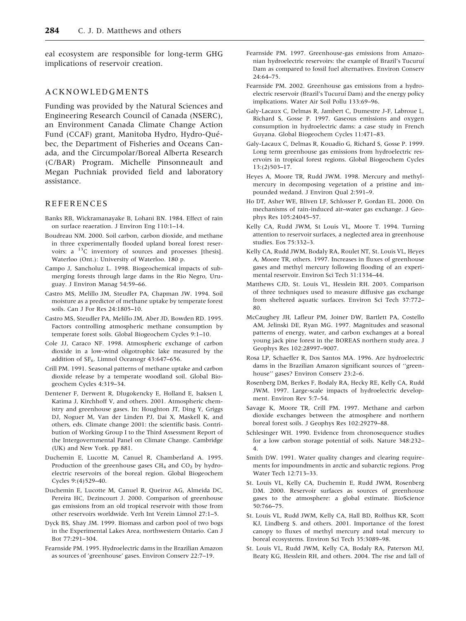eal ecosystem are responsible for long-term GHG implications of reservoir creation.

#### ACKNOWLEDGMENTS

Funding was provided by the Natural Sciences and Engineering Research Council of Canada (NSERC), an Environment Canada Climate Change Action Fund (CCAF) grant, Manitoba Hydro, Hydro-Québec, the Department of Fisheries and Oceans Canada, and the Circumpolar/Boreal Alberta Research (C/BAR) Program. Michelle Pinsonneault and Megan Puchniak provided field and laboratory assistance.

#### REFERENCES

- Banks RB, Wickramanayake B, Lohani BN. 1984. Effect of rain on surface reaeration. J Environ Eng 110:1–14.
- Boudreau NM. 2000. Soil carbon, carbon dioxide, and methane in three experimentally flooded upland boreal forest reservoirs: a <sup>13</sup>C inventory of sources and processes [thesis]. Waterloo (Ont.): University of Waterloo. 180 p.
- Campo J, Sancholuz L. 1998. Biogeochemical impacts of submerging forests through large dams in the Rio Negro, Uruguay. J Environ Manag 54:59–66.
- Castro MS, Melillo JM, Steudler PA, Chapman JW. 1994. Soil moisture as a predictor of methane uptake by temperate forest soils. Can J For Res 24:1805–10.
- Castro MS, Steudler PA, Melillo JM, Aber JD, Bowden RD. 1995. Factors controlling atmospheric methane consumption by temperate forest soils. Global Biogeochem Cycles 9:1–10.
- Cole JJ, Caraco NF. 1998. Atmospheric exchange of carbon dioxide in a low-wind oligotrophic lake measured by the addition of  $SF_6$ . Limnol Oceanogr 43:647–656.
- Crill PM. 1991. Seasonal patterns of methane uptake and carbon dioxide release by a temperate woodland soil. Global Biogeochem Cycles 4:319–34.
- Dentener F, Derwent R, Dlugokencky E, Holland E, Isaksen I, Katima J, Kirchhoff V, and others. 2001. Atmospheric chemistry and greenhouse gases. In: Houghton JT, Ding Y, Griggs DJ, Noguer M, Van der Linden PJ, Dai X, Maskell K, and others, eds. Climate change 2001: the scientific basis. Contribution of Working Group I to the Third Assessment Report of the Intergovernmental Panel on Climate Change. Cambridge (UK) and New York. pp 881.
- Duchemin E, Lucotte M, Canuel R, Chamberland A. 1995. Production of the greenhouse gases  $CH_4$  and  $CO_2$  by hydroelectric reservoirs of the boreal region. Global Biogeochem Cycles 9:(4)529–40.
- Duchemin E, Lucotte M, Canuel R, Queiroz AG, Almeida DC, Pereira HC, Dezincourt J. 2000. Comparison of greenhouse gas emissions from an old tropical reservoir with those from other reservoirs worldwide. Verh Int Verein Limnol 27:1–5.
- Dyck BS, Shay JM. 1999. Biomass and carbon pool of two bogs in the Experimental Lakes Area, northwestern Ontario. Can J Bot 77:291–304.
- Fearnside PM. 1995. Hydroelectric dams in the Brazilian Amazon as sources of 'greenhouse' gases. Environ Conserv 22:7–19.
- Fearnside PM. 1997. Greenhouse-gas emissions from Amazonian hydroelectric reservoirs: the example of Brazil's Tucuruí Dam as compared to fossil fuel alternatives. Environ Conserv 24:64–75.
- Fearnside PM. 2002. Greenhouse gas emissions from a hydroelectric reservoir (Brazil's Tucuruí Dam) and the energy policy implications. Water Air Soil Pollu 133:69–96.
- Galy-Lacaux C, Delmas R, Jambert C, Dumestre J-F, Labroue L, Richard S, Gosse P. 1997. Gaseous emissions and oxygen consumption in hydroelectric dams: a case study in French Guyana. Global Biogeochem Cycles 11:471–83.
- Galy-Lacaux C, Delmas R, Kouadio G, Richard S, Gosse P. 1999. Long term greenhouse gas emissions from hydroelectric reservoirs in tropical forest regions. Global Biogeochem Cycles 13:(2)503–17.
- Heyes A, Moore TR, Rudd JWM. 1998. Mercury and methylmercury in decomposing vegetation of a pristine and impounded wedand. J Environ Qual 2:591–9.
- Ho DT, Asher WE, Bliven LF, Schlosser P, Gordan EL. 2000. On mechanisms of rain-induced air–water gas exchange. J Geophys Res 105:24045–57.
- Kelly CA, Rudd JWM, St Louis VL, Moore T. 1994. Turning attention to reservoir surfaces, a neglected area in greenhouse studies. Eos 75:332–3.
- Kelly CA, Rudd JWM, Bodaly RA, Roulet NT, St. Louis VL, Heyes A, Moore TR, others. 1997. Increases in fluxes of greenhouse gases and methyl mercury following flooding of an experimental reservoir. Environ Sci Tech 31:1334–44.
- Matthews CJD, St. Louis VL, Hesslein RH. 2003. Comparison of three techniques used to measure diffusive gas exchange from sheltered aquatic surfaces. Environ Sci Tech 37:772– 80.
- McCaughey JH, Lafleur PM, Joiner DW, Bartlett PA, Costello AM, Jelinski DE, Ryan MG. 1997. Magnitudes and seasonal patterns of energy, water, and carbon exchanges at a boreal young jack pine forest in the BOREAS northern study area. J Geophys Res 102:28997–9007.
- Rosa LP, Schaeffer R, Dos Santos MA. 1996. Are hydroelectric dams in the Brazilian Amazon significant sources of ''greenhouse'' gases? Environ Conserv 23:2–6.
- Rosenberg DM, Berkes F, Bodaly RA, Hecky RE, Kelly CA, Rudd JWM. 1997. Large-scale impacts of hydroelectric development. Environ Rev 5:7–54.
- Savage K, Moore TR, Crill PM. 1997. Methane and carbon dioxide exchanges between the atmosphere and northern boreal forest soils. J Geophys Res 102:29279–88.
- Schlesinger WH. 1990. Evidence from chronosequence studies for a low carbon storage potential of soils. Nature 348:232– 4.
- Smith DW. 1991. Water quality changes and clearing requirements for impoundments in arctic and subarctic regions. Prog Water Tech 12:713–33.
- St. Louis VL, Kelly CA, Duchemin E, Rudd JWM, Rosenberg DM. 2000. Reservoir surfaces as sources of greenhouse gases to the atmosphere: a global estimate. BioScience 50:766–75.
- St. Louis VL, Rudd JWM, Kelly CA, Hall BD, Rolfhus KR, Scott KJ, Lindberg S. and others. 2001. Importance of the forest canopy to fluxes of methyl mercury and total mercury to boreal ecosystems. Environ Sci Tech 35:3089–98.
- St. Louis VL, Rudd JWM, Kelly CA, Bodaly RA, Paterson MJ, Beaty KG, Hesslein RH, and others. 2004. The rise and fall of